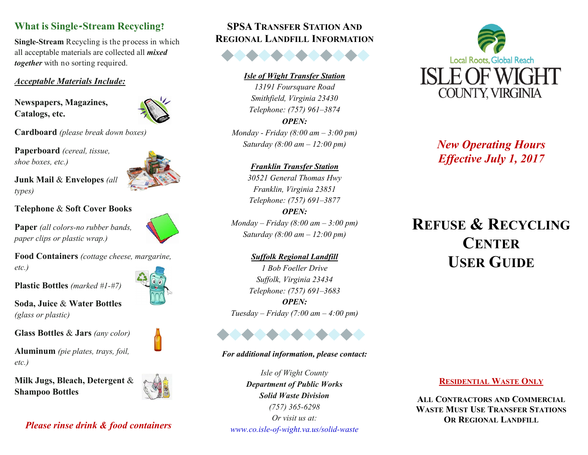# **What is Single-Stream Recycling?**

**Single-Stream** Recycling is the process in which all acceptable materials are collected all *mixed together* with no sorting required.

## *Acceptable Materials Include:*

**Newspapers, Magazines, Catalogs, etc.**



**Cardboard** *(please break down boxes)*

**Paperboard** *(cereal, tissue, shoe boxes, etc.)*

**Junk Mail** & **Envelopes** *(all types)*

# **Telephone** & **Soft Cover Books**

**Paper** *(all colors-no rubber bands, paper clips or plastic wrap.)*

**Food Containers** *(cottage cheese, margarine, etc.)*

**Plastic Bottles** *(marked #1-#7)*

**Soda, Juice** & **Water Bottles**  *(glass or plastic)*

**Glass Bottles** & **Jars** *(any color)*

**Aluminum** *(pie plates, trays, foil, etc.)*

**Milk Jugs, Bleach, Detergent** & **Shampoo Bottles**



# *Please rinse drink & food containers*

# **SPSA TRANSFER STATION AND REGIONAL LANDFILL INFORMATION**

#### *Isle of Wight Transfer Station*

*13191 Foursquare Road Smithfield, Virginia 23430 Telephone: (757) 961–3874 OPEN:*

*Monday - Friday (8:00 am – 3:00 pm) Saturday (8:00 am – 12:00 pm)* 

#### *Franklin Transfer Station*

*30521 General Thomas Hwy Franklin, Virginia 23851 Telephone: (757) 691–3877 OPEN: Monday – Friday (8:00 am – 3:00 pm) Saturday (8:00 am – 12:00 pm)* 

*Suffolk Regional Landfill 1 Bob Foeller Drive Suffolk, Virginia 23434 Telephone: (757) 691–3683 OPEN: Tuesday – Friday (7:00 am – 4:00 pm)* 



#### *For additional information, please contact:*

*Isle of Wight County Department of Public Works Solid Waste Division (757) 365-6298 Or visit us at: www.co.isle-of-wight.va.us/solid-waste*



*New Operating Hours Effective July 1, 2017*

# **REFUSE & RECYCLING CENTER USER GUIDE**

# **RESIDENTIAL WASTE ONLY**

**ALL CONTRACTORS AND COMMERCIAL WASTE MUST USE TRANSFER STATIONS OR REGIONAL LANDFILL**